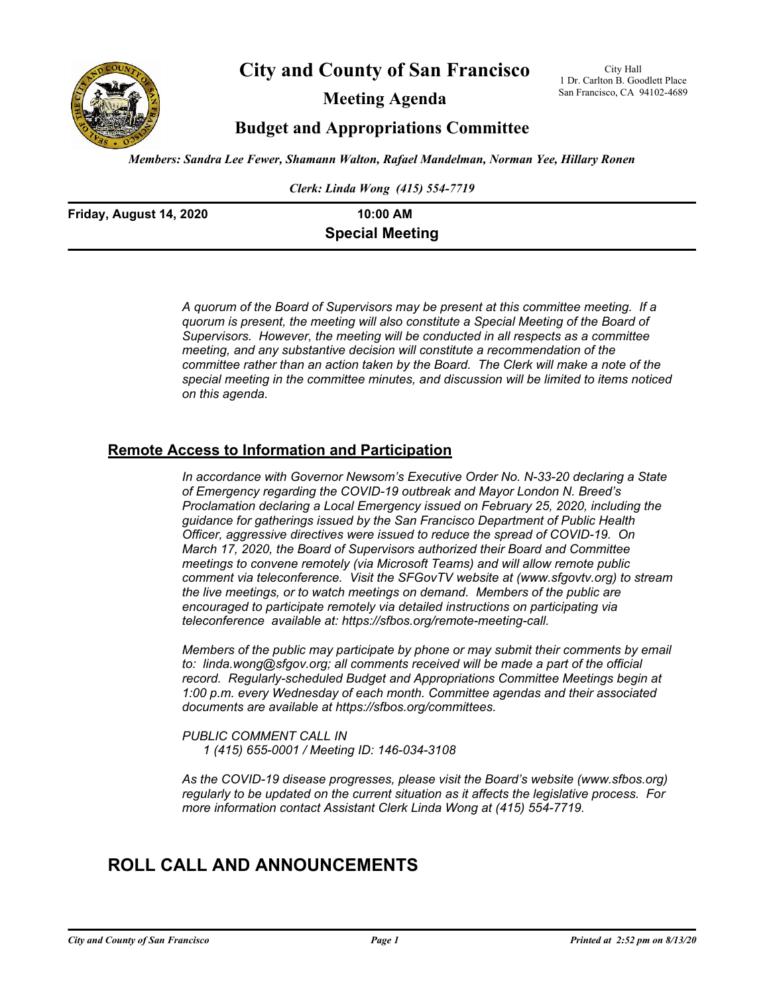

**City and County of San Francisco**

**Meeting Agenda**

City Hall 1 Dr. Carlton B. Goodlett Place San Francisco, CA 94102-4689

# **Budget and Appropriations Committee**

*Members: Sandra Lee Fewer, Shamann Walton, Rafael Mandelman, Norman Yee, Hillary Ronen*

*Clerk: Linda Wong (415) 554-7719*

| Friday, August 14, 2020 | 10:00 AM               |  |
|-------------------------|------------------------|--|
|                         | <b>Special Meeting</b> |  |

*A quorum of the Board of Supervisors may be present at this committee meeting. If a quorum is present, the meeting will also constitute a Special Meeting of the Board of Supervisors. However, the meeting will be conducted in all respects as a committee meeting, and any substantive decision will constitute a recommendation of the committee rather than an action taken by the Board. The Clerk will make a note of the special meeting in the committee minutes, and discussion will be limited to items noticed on this agenda.*

# **Remote Access to Information and Participation**

*In accordance with Governor Newsom's Executive Order No. N-33-20 declaring a State of Emergency regarding the COVID-19 outbreak and Mayor London N. Breed's Proclamation declaring a Local Emergency issued on February 25, 2020, including the guidance for gatherings issued by the San Francisco Department of Public Health Officer, aggressive directives were issued to reduce the spread of COVID-19. On March 17, 2020, the Board of Supervisors authorized their Board and Committee meetings to convene remotely (via Microsoft Teams) and will allow remote public comment via teleconference. Visit the SFGovTV website at (www.sfgovtv.org) to stream the live meetings, or to watch meetings on demand. Members of the public are encouraged to participate remotely via detailed instructions on participating via teleconference available at: https://sfbos.org/remote-meeting-call.* 

*Members of the public may participate by phone or may submit their comments by email to: linda.wong@sfgov.org; all comments received will be made a part of the official record. Regularly-scheduled Budget and Appropriations Committee Meetings begin at 1:00 p.m. every Wednesday of each month. Committee agendas and their associated documents are available at https://sfbos.org/committees.* 

*PUBLIC COMMENT CALL IN 1 (415) 655-0001 / Meeting ID: 146-034-3108*

*As the COVID-19 disease progresses, please visit the Board's website (www.sfbos.org) regularly to be updated on the current situation as it affects the legislative process. For more information contact Assistant Clerk Linda Wong at (415) 554-7719.*

# **ROLL CALL AND ANNOUNCEMENTS**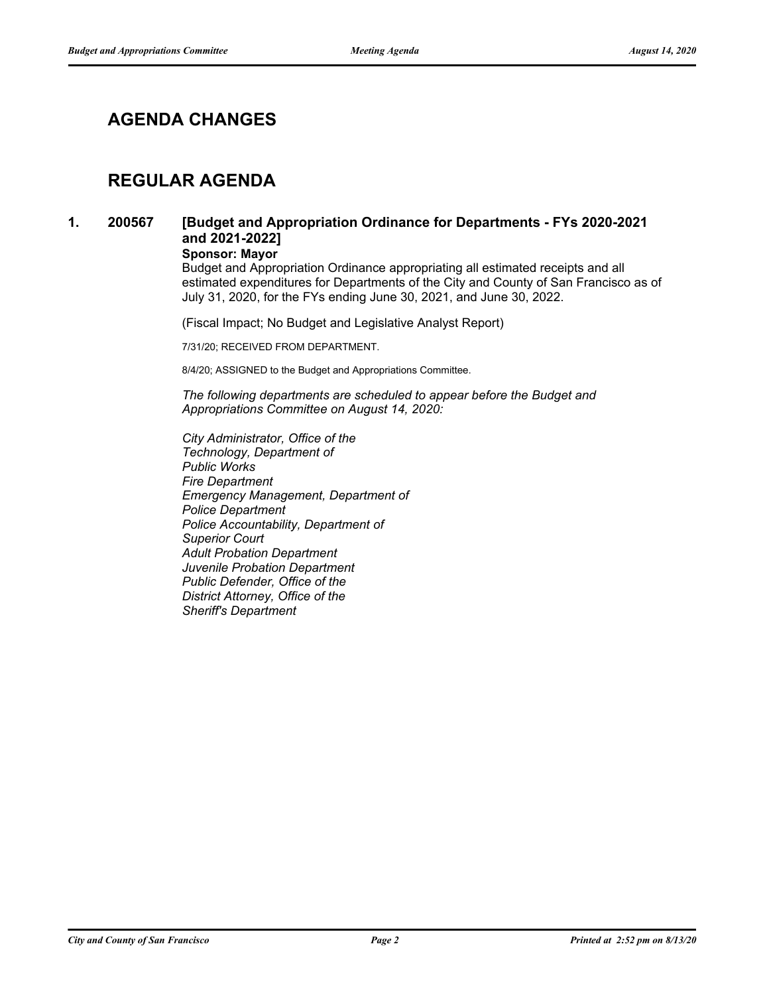# **AGENDA CHANGES**

# **REGULAR AGENDA**

**1. 200567**

## **[Budget and Appropriation Ordinance for Departments - FYs 2020-2021 and 2021-2022]**

**Sponsor: Mayor**

Budget and Appropriation Ordinance appropriating all estimated receipts and all estimated expenditures for Departments of the City and County of San Francisco as of July 31, 2020, for the FYs ending June 30, 2021, and June 30, 2022.

(Fiscal Impact; No Budget and Legislative Analyst Report)

7/31/20; RECEIVED FROM DEPARTMENT.

8/4/20; ASSIGNED to the Budget and Appropriations Committee.

*The following departments are scheduled to appear before the Budget and Appropriations Committee on August 14, 2020:*

*City Administrator, Office of the Technology, Department of Public Works Fire Department Emergency Management, Department of Police Department Police Accountability, Department of Superior Court Adult Probation Department Juvenile Probation Department Public Defender, Office of the District Attorney, Office of the Sheriff's Department*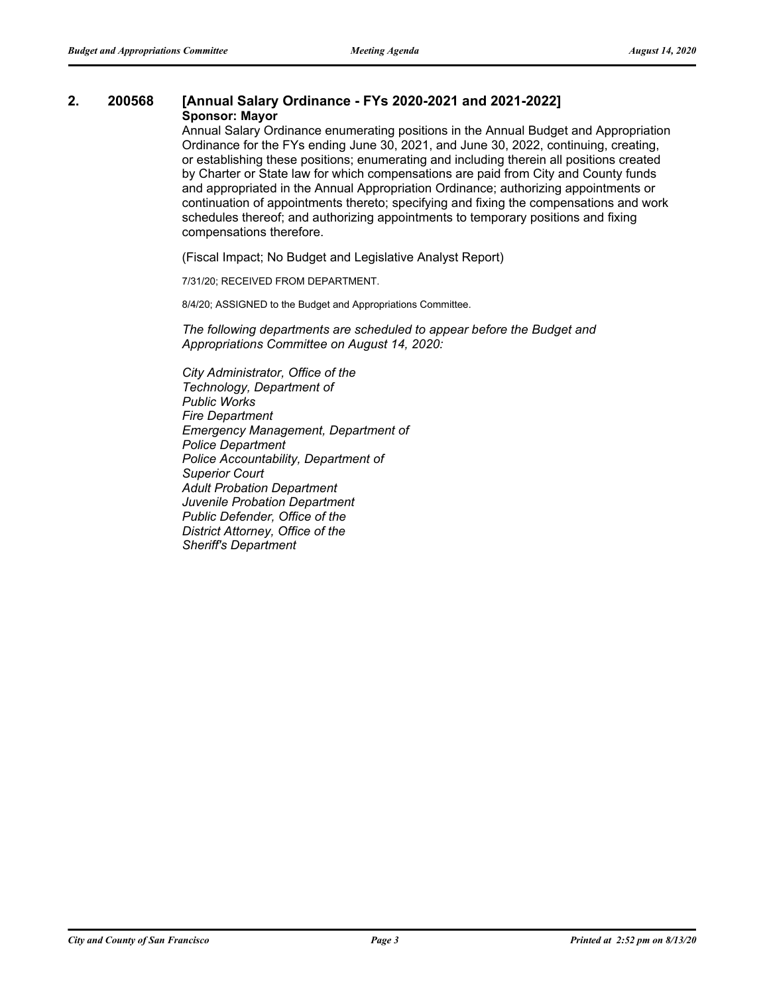#### **2. 200568 [Annual Salary Ordinance - FYs 2020-2021 and 2021-2022] Sponsor: Mayor**

Annual Salary Ordinance enumerating positions in the Annual Budget and Appropriation Ordinance for the FYs ending June 30, 2021, and June 30, 2022, continuing, creating, or establishing these positions; enumerating and including therein all positions created by Charter or State law for which compensations are paid from City and County funds and appropriated in the Annual Appropriation Ordinance; authorizing appointments or continuation of appointments thereto; specifying and fixing the compensations and work schedules thereof; and authorizing appointments to temporary positions and fixing compensations therefore.

(Fiscal Impact; No Budget and Legislative Analyst Report)

7/31/20; RECEIVED FROM DEPARTMENT.

8/4/20; ASSIGNED to the Budget and Appropriations Committee.

*The following departments are scheduled to appear before the Budget and Appropriations Committee on August 14, 2020:*

*City Administrator, Office of the Technology, Department of Public Works Fire Department Emergency Management, Department of Police Department Police Accountability, Department of Superior Court Adult Probation Department Juvenile Probation Department Public Defender, Office of the District Attorney, Office of the Sheriff's Department*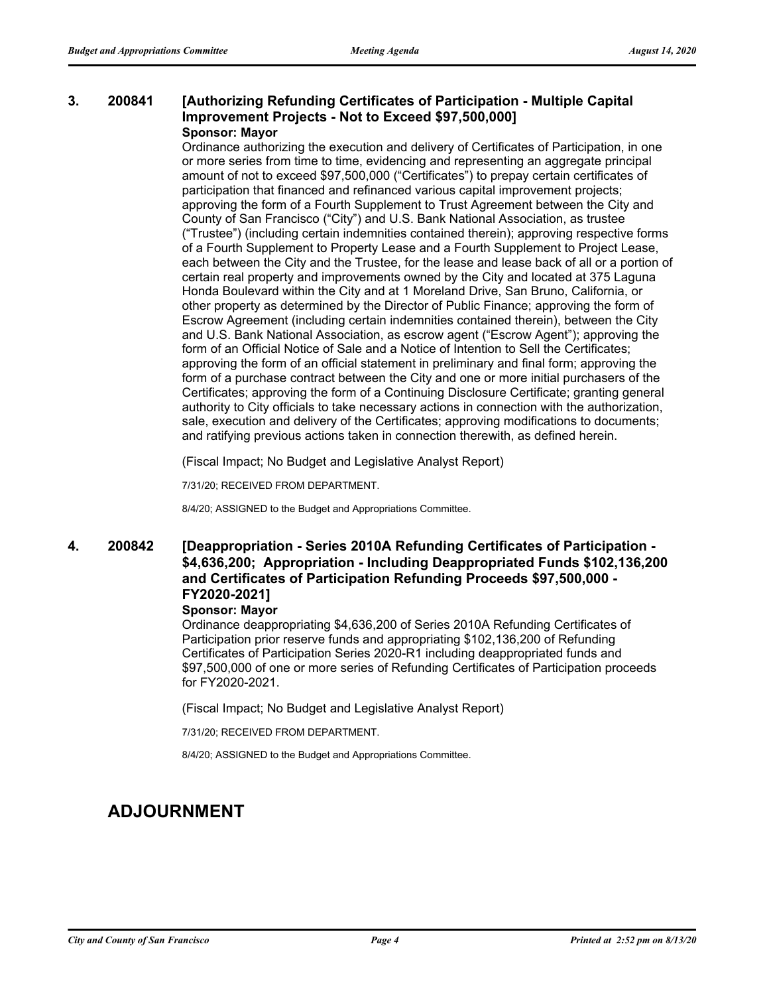#### **[Authorizing Refunding Certificates of Participation - Multiple Capital Improvement Projects - Not to Exceed \$97,500,000] 3. 200841 Sponsor: Mayor**

Ordinance authorizing the execution and delivery of Certificates of Participation, in one or more series from time to time, evidencing and representing an aggregate principal amount of not to exceed \$97,500,000 ("Certificates") to prepay certain certificates of participation that financed and refinanced various capital improvement projects; approving the form of a Fourth Supplement to Trust Agreement between the City and County of San Francisco ("City") and U.S. Bank National Association, as trustee ("Trustee") (including certain indemnities contained therein); approving respective forms of a Fourth Supplement to Property Lease and a Fourth Supplement to Project Lease, each between the City and the Trustee, for the lease and lease back of all or a portion of certain real property and improvements owned by the City and located at 375 Laguna Honda Boulevard within the City and at 1 Moreland Drive, San Bruno, California, or other property as determined by the Director of Public Finance; approving the form of Escrow Agreement (including certain indemnities contained therein), between the City and U.S. Bank National Association, as escrow agent ("Escrow Agent"); approving the form of an Official Notice of Sale and a Notice of Intention to Sell the Certificates; approving the form of an official statement in preliminary and final form; approving the form of a purchase contract between the City and one or more initial purchasers of the Certificates; approving the form of a Continuing Disclosure Certificate; granting general authority to City officials to take necessary actions in connection with the authorization, sale, execution and delivery of the Certificates; approving modifications to documents; and ratifying previous actions taken in connection therewith, as defined herein.

(Fiscal Impact; No Budget and Legislative Analyst Report)

7/31/20; RECEIVED FROM DEPARTMENT.

8/4/20; ASSIGNED to the Budget and Appropriations Committee.

#### **[Deappropriation - Series 2010A Refunding Certificates of Participation - \$4,636,200; Appropriation - Including Deappropriated Funds \$102,136,200 and Certificates of Participation Refunding Proceeds \$97,500,000 - FY2020-2021] 4. 200842**

### **Sponsor: Mayor**

Ordinance deappropriating \$4,636,200 of Series 2010A Refunding Certificates of Participation prior reserve funds and appropriating \$102,136,200 of Refunding Certificates of Participation Series 2020-R1 including deappropriated funds and \$97,500,000 of one or more series of Refunding Certificates of Participation proceeds for FY2020-2021.

(Fiscal Impact; No Budget and Legislative Analyst Report)

7/31/20; RECEIVED FROM DEPARTMENT.

8/4/20; ASSIGNED to the Budget and Appropriations Committee.

# **ADJOURNMENT**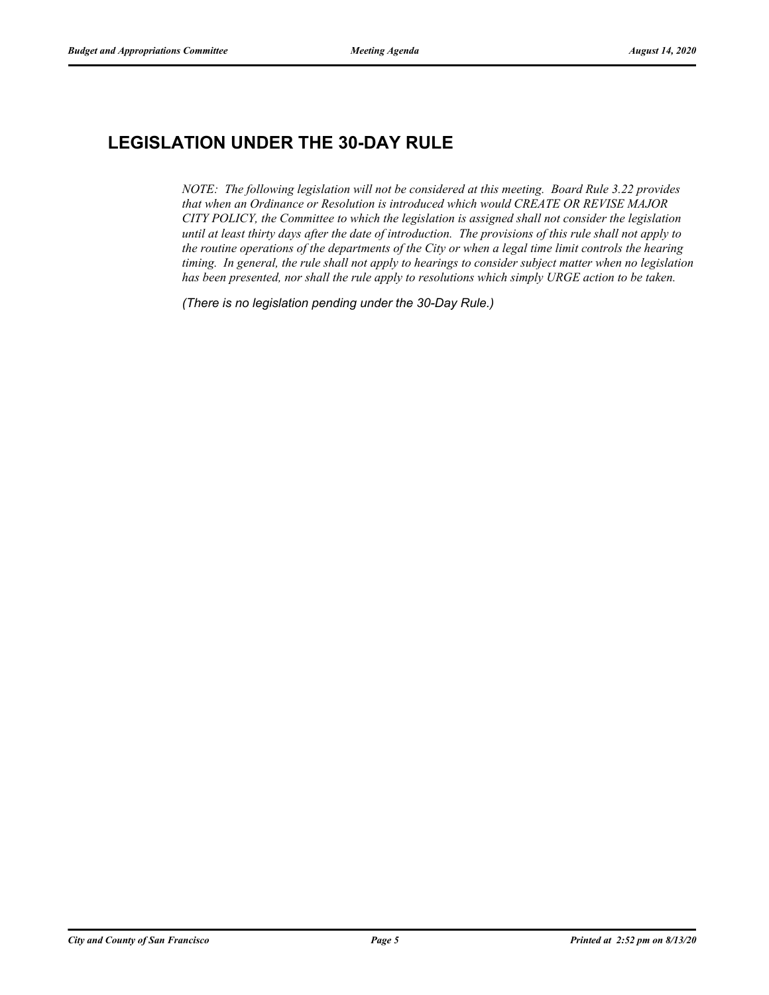# **LEGISLATION UNDER THE 30-DAY RULE**

*NOTE: The following legislation will not be considered at this meeting. Board Rule 3.22 provides that when an Ordinance or Resolution is introduced which would CREATE OR REVISE MAJOR CITY POLICY, the Committee to which the legislation is assigned shall not consider the legislation until at least thirty days after the date of introduction. The provisions of this rule shall not apply to the routine operations of the departments of the City or when a legal time limit controls the hearing timing. In general, the rule shall not apply to hearings to consider subject matter when no legislation has been presented, nor shall the rule apply to resolutions which simply URGE action to be taken.*

*(There is no legislation pending under the 30-Day Rule.)*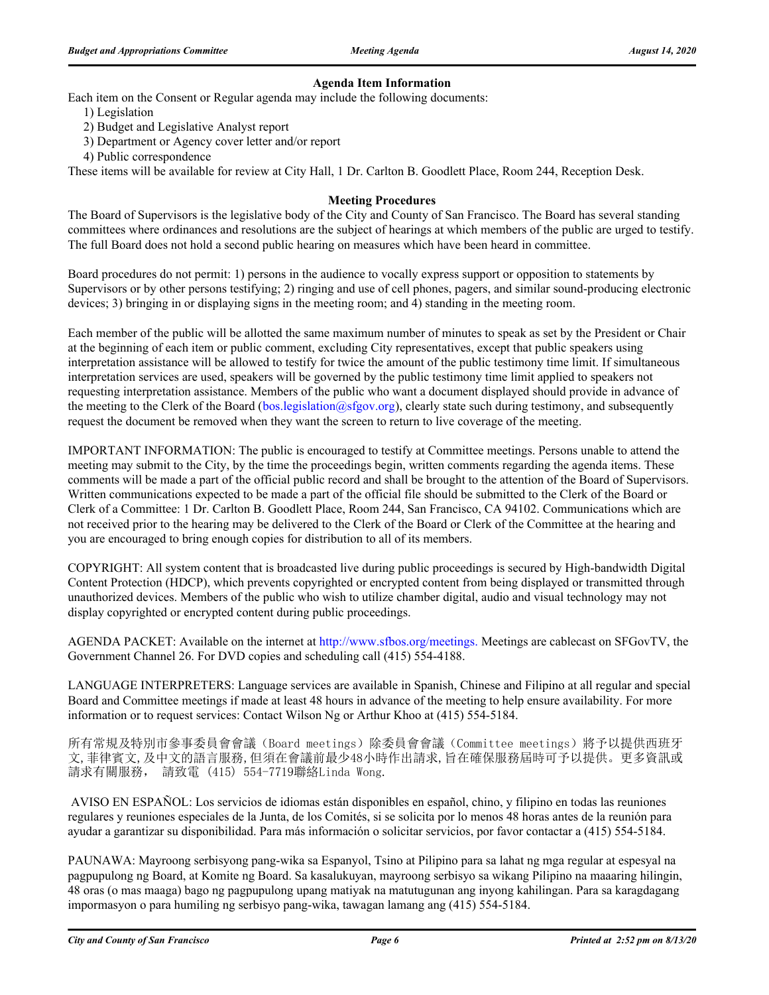### **Agenda Item Information**

Each item on the Consent or Regular agenda may include the following documents:

- 1) Legislation
- 2) Budget and Legislative Analyst report
- 3) Department or Agency cover letter and/or report
- 4) Public correspondence

These items will be available for review at City Hall, 1 Dr. Carlton B. Goodlett Place, Room 244, Reception Desk.

### **Meeting Procedures**

The Board of Supervisors is the legislative body of the City and County of San Francisco. The Board has several standing committees where ordinances and resolutions are the subject of hearings at which members of the public are urged to testify. The full Board does not hold a second public hearing on measures which have been heard in committee.

Board procedures do not permit: 1) persons in the audience to vocally express support or opposition to statements by Supervisors or by other persons testifying; 2) ringing and use of cell phones, pagers, and similar sound-producing electronic devices; 3) bringing in or displaying signs in the meeting room; and 4) standing in the meeting room.

Each member of the public will be allotted the same maximum number of minutes to speak as set by the President or Chair at the beginning of each item or public comment, excluding City representatives, except that public speakers using interpretation assistance will be allowed to testify for twice the amount of the public testimony time limit. If simultaneous interpretation services are used, speakers will be governed by the public testimony time limit applied to speakers not requesting interpretation assistance. Members of the public who want a document displayed should provide in advance of the meeting to the Clerk of the Board (bos.legislation@sfgov.org), clearly state such during testimony, and subsequently request the document be removed when they want the screen to return to live coverage of the meeting.

IMPORTANT INFORMATION: The public is encouraged to testify at Committee meetings. Persons unable to attend the meeting may submit to the City, by the time the proceedings begin, written comments regarding the agenda items. These comments will be made a part of the official public record and shall be brought to the attention of the Board of Supervisors. Written communications expected to be made a part of the official file should be submitted to the Clerk of the Board or Clerk of a Committee: 1 Dr. Carlton B. Goodlett Place, Room 244, San Francisco, CA 94102. Communications which are not received prior to the hearing may be delivered to the Clerk of the Board or Clerk of the Committee at the hearing and you are encouraged to bring enough copies for distribution to all of its members.

COPYRIGHT: All system content that is broadcasted live during public proceedings is secured by High-bandwidth Digital Content Protection (HDCP), which prevents copyrighted or encrypted content from being displayed or transmitted through unauthorized devices. Members of the public who wish to utilize chamber digital, audio and visual technology may not display copyrighted or encrypted content during public proceedings.

AGENDA PACKET: Available on the internet at http://www.sfbos.org/meetings. Meetings are cablecast on SFGovTV, the Government Channel 26. For DVD copies and scheduling call (415) 554-4188.

LANGUAGE INTERPRETERS: Language services are available in Spanish, Chinese and Filipino at all regular and special Board and Committee meetings if made at least 48 hours in advance of the meeting to help ensure availability. For more information or to request services: Contact Wilson Ng or Arthur Khoo at (415) 554-5184.

所有常規及特別市參事委員會會議(Board meetings)除委員會會議(Committee meetings)將予以提供西班牙 文,菲律賓文,及中文的語言服務,但須在會議前最少48小時作出請求,旨在確保服務屆時可予以提供。更多資訊或 請求有關服務, 請致電 (415) 554-7719聯絡Linda Wong.

 AVISO EN ESPAÑOL: Los servicios de idiomas están disponibles en español, chino, y filipino en todas las reuniones regulares y reuniones especiales de la Junta, de los Comités, si se solicita por lo menos 48 horas antes de la reunión para ayudar a garantizar su disponibilidad. Para más información o solicitar servicios, por favor contactar a (415) 554-5184.

PAUNAWA: Mayroong serbisyong pang-wika sa Espanyol, Tsino at Pilipino para sa lahat ng mga regular at espesyal na pagpupulong ng Board, at Komite ng Board. Sa kasalukuyan, mayroong serbisyo sa wikang Pilipino na maaaring hilingin, 48 oras (o mas maaga) bago ng pagpupulong upang matiyak na matutugunan ang inyong kahilingan. Para sa karagdagang impormasyon o para humiling ng serbisyo pang-wika, tawagan lamang ang (415) 554-5184.